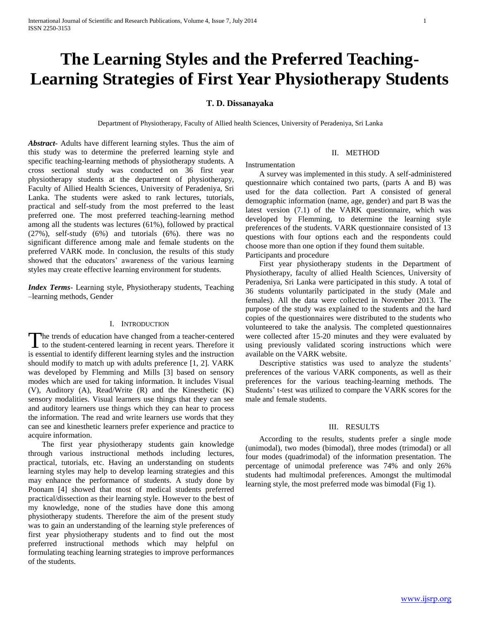# **The Learning Styles and the Preferred Teaching-Learning Strategies of First Year Physiotherapy Students**

# **T. D. Dissanayaka**

Department of Physiotherapy, Faculty of Allied health Sciences, University of Peradeniya, Sri Lanka

*Abstract***-** Adults have different learning styles. Thus the aim of this study was to determine the preferred learning style and specific teaching-learning methods of physiotherapy students. A cross sectional study was conducted on 36 first year physiotherapy students at the department of physiotherapy, Faculty of Allied Health Sciences, University of Peradeniya, Sri Lanka. The students were asked to rank lectures, tutorials, practical and self-study from the most preferred to the least preferred one. The most preferred teaching-learning method among all the students was lectures (61%), followed by practical (27%), self-study (6%) and tutorials (6%). there was no significant difference among male and female students on the preferred VARK mode. In conclusion, the results of this study showed that the educators' awareness of the various learning styles may create effective learning environment for students.

*Index Terms*- Learning style, Physiotherapy students, Teaching –learning methods, Gender

### I. INTRODUCTION

he trends of education have changed from a teacher-centered The trends of education have changed from a teacher-centered<br>to the student-centered learning in recent years. Therefore it is essential to identify different learning styles and the instruction should modify to match up with adults preference [1, 2]. VARK was developed by Flemming and Mills [3] based on sensory modes which are used for taking information. It includes Visual (V), Auditory (A), Read/Write (R) and the Kinesthetic (K) sensory modalities. Visual learners use things that they can see and auditory learners use things which they can hear to process the information. The read and write learners use words that they can see and kinesthetic learners prefer experience and practice to acquire information.

 The first year physiotherapy students gain knowledge through various instructional methods including lectures, practical, tutorials, etc. Having an understanding on students learning styles may help to develop learning strategies and this may enhance the performance of students. A study done by Poonam [4] showed that most of medical students preferred practical/dissection as their learning style. However to the best of my knowledge, none of the studies have done this among physiotherapy students. Therefore the aim of the present study was to gain an understanding of the learning style preferences of first year physiotherapy students and to find out the most preferred instructional methods which may helpful on formulating teaching learning strategies to improve performances of the students.

#### II. METHOD

#### Instrumentation

 A survey was implemented in this study. A self-administered questionnaire which contained two parts, (parts A and B) was used for the data collection. Part A consisted of general demographic information (name, age, gender) and part B was the latest version (7.1) of the VARK questionnaire, which was developed by Flemming, to determine the learning style preferences of the students. VARK questionnaire consisted of 13 questions with four options each and the respondents could choose more than one option if they found them suitable. Participants and procedure

 First year physiotherapy students in the Department of Physiotherapy, faculty of allied Health Sciences, University of Peradeniya, Sri Lanka were participated in this study. A total of 36 students voluntarily participated in the study (Male and females). All the data were collected in November 2013. The purpose of the study was explained to the students and the hard copies of the questionnaires were distributed to the students who volunteered to take the analysis. The completed questionnaires were collected after 15-20 minutes and they were evaluated by using previously validated scoring instructions which were available on the VARK website.

 Descriptive statistics was used to analyze the students' preferences of the various VARK components, as well as their preferences for the various teaching-learning methods. The Students' t-test was utilized to compare the VARK scores for the male and female students.

#### III. RESULTS

 According to the results, students prefer a single mode (unimodal), two modes (bimodal), three modes (trimodal) or all four modes (quadrimodal) of the information presentation. The percentage of unimodal preference was 74% and only 26% students had multimodal preferences. Amongst the multimodal learning style, the most preferred mode was bimodal (Fig 1).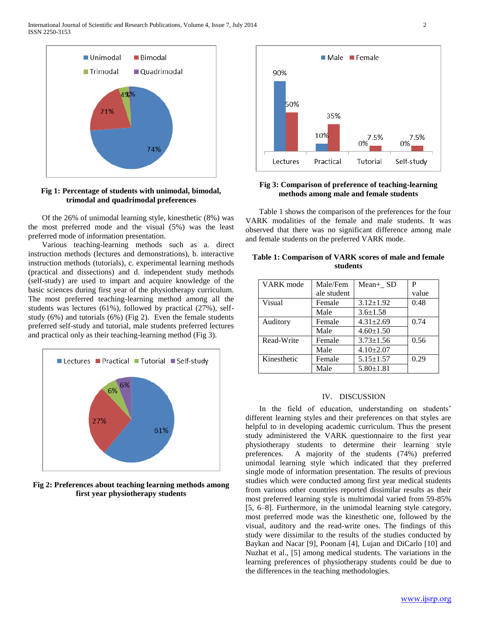International Journal of Scientific and Research Publications, Volume 4, Issue 7, July 2014 2 ISSN 2250-3153



# **Fig 1: Percentage of students with unimodal, bimodal, trimodal and quadrimodal preferences**

 Of the 26% of unimodal learning style, kinesthetic (8%) was the most preferred mode and the visual (5%) was the least preferred mode of information presentation.

 Various teaching-learning methods such as a. direct instruction methods (lectures and demonstrations), b. interactive instruction methods (tutorials), c. experimental learning methods (practical and dissections) and d. independent study methods (self-study) are used to impart and acquire knowledge of the basic sciences during first year of the physiotherapy curriculum. The most preferred teaching-learning method among all the students was lectures (61%), followed by practical (27%), selfstudy (6%) and tutorials (6%) (Fig 2). Even the female students preferred self-study and tutorial, male students preferred lectures and practical only as their teaching-learning method (Fig 3).



**Fig 2: Preferences about teaching learning methods among first year physiotherapy students**



# **Fig 3: Comparison of preference of teaching-learning methods among male and female students**

 Table 1 shows the comparison of the preferences for the four VARK modalities of the female and male students. It was observed that there was no significant difference among male and female students on the preferred VARK mode.

| Table 1: Comparison of VARK scores of male and female |  |  |  |  |  |  |
|-------------------------------------------------------|--|--|--|--|--|--|
| students                                              |  |  |  |  |  |  |

| VARK mode   | Male/Fem                  | Mean+ SD        | P     |
|-------------|---------------------------|-----------------|-------|
|             | ale student               |                 | value |
| Visual      | $3.12 \pm 1.92$<br>Female |                 | 0.48  |
|             | Male                      | $3.6 \pm 1.58$  |       |
| Auditory    | Female                    | $4.31 \pm 2.69$ | 0.74  |
|             | Male                      | $4.60 \pm 1.50$ |       |
| Read-Write  | Female                    | $3.73 \pm 1.56$ | 0.56  |
|             | Male                      | $4.10 \pm 2.07$ |       |
| Kinesthetic | Female                    | $5.15 \pm 1.57$ | 0.29  |
|             | Male                      | $5.80 \pm 1.81$ |       |

# IV. DISCUSSION

 In the field of education, understanding on students' different learning styles and their preferences on that styles are helpful to in developing academic curriculum. Thus the present study administered the VARK questionnaire to the first year physiotherapy students to determine their learning style preferences. A majority of the students (74%) preferred unimodal learning style which indicated that they preferred single mode of information presentation. The results of previous studies which were conducted among first year medical students from various other countries reported dissimilar results as their most preferred learning style is multimodal varied from 59-85% [5, 6–8]. Furthermore, in the unimodal learning style category, most preferred mode was the kinesthetic one, followed by the visual, auditory and the read-write ones. The findings of this study were dissimilar to the results of the studies conducted by Baykan and Nacar [9], Poonam [4], Lujan and DiCarlo [10] and Nuzhat et al., [5] among medical students. The variations in the learning preferences of physiotherapy students could be due to the differences in the teaching methodologies.